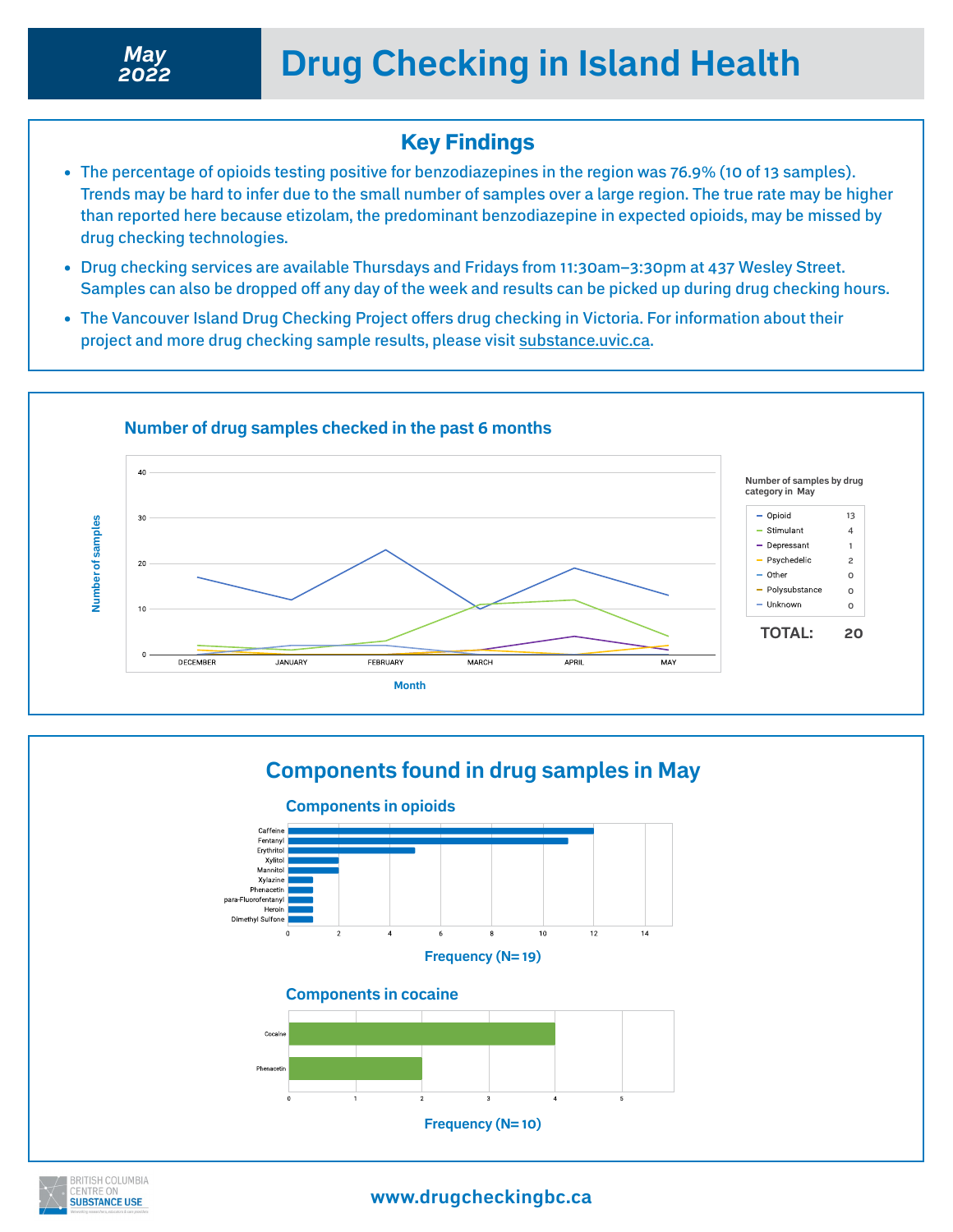## Key Findings

- The percentage of opioids testing positive for benzodiazepines in the region was 76.9% (10 of 13 samples). Trends may be hard to infer due to the small number of samples over a large region. The true rate may be higher than reported here because etizolam, the predominant benzodiazepine in expected opioids, may be missed by drug checking technologies.
- Drug checking services are available Thursdays and Fridays from 11:30am–3:30pm at 437 Wesley Street. Samples can also be dropped off any day of the week and results can be picked up during drug checking hours.
- The Vancouver Island Drug Checking Project offers drug checking in Victoria. For information about their project and more drug checking sample results, please visit [substance.uvic.ca.](https://substance.uvic.ca)









**www.drugcheckingbc.ca**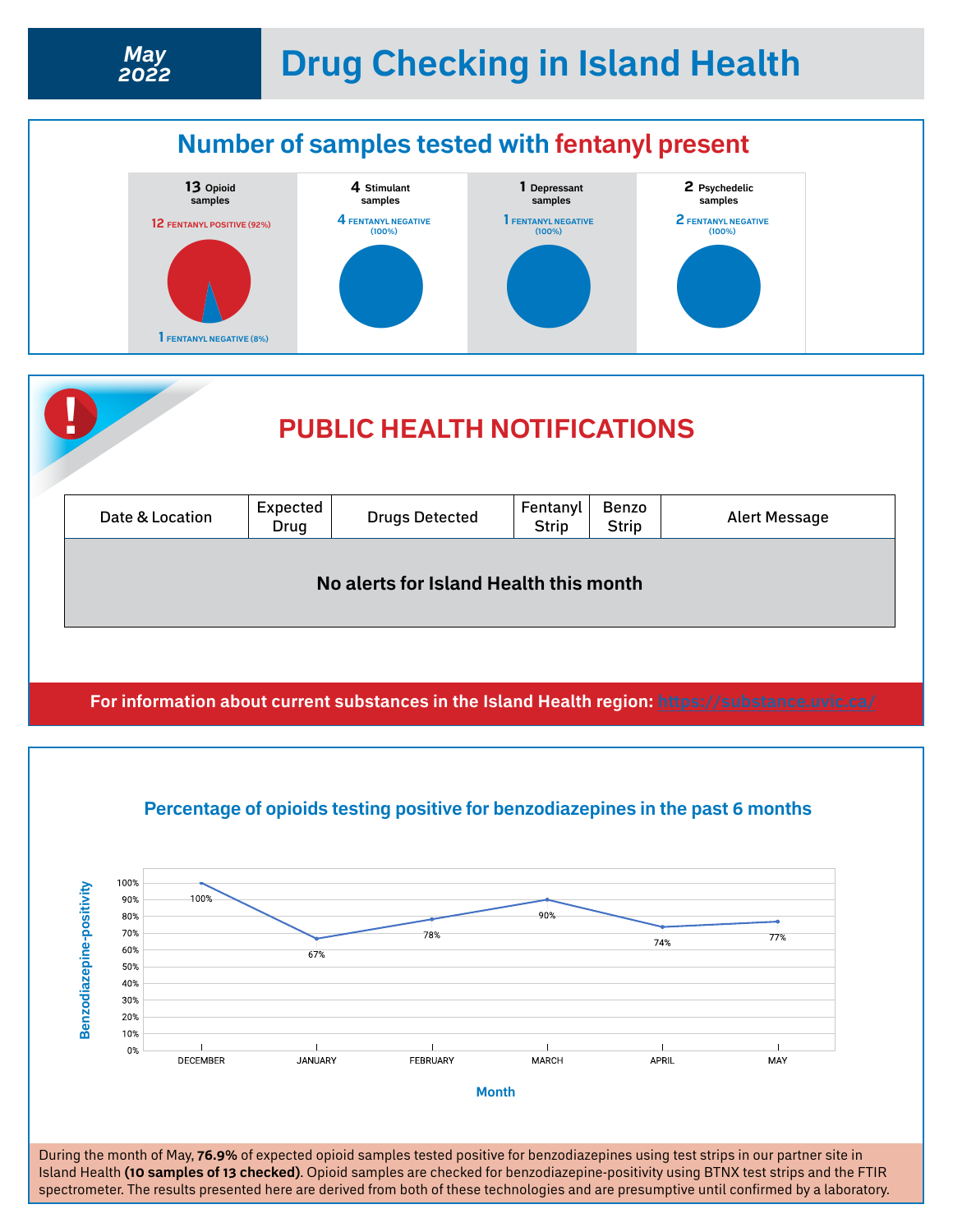

**For information about current substances in the Island Health region: <https://substance.uvic.ca/>**



**Percentage of opioids testing positive for benzodiazepines in the past 6 months**

Island Health **(10 samples of 13 checked)**. Opioid samples are checked for benzodiazepine-positivity using BTNX test strips and the FTIR spectrometer. The results presented here are derived from both of these technologies and are presumptive until confirmed by a laboratory.